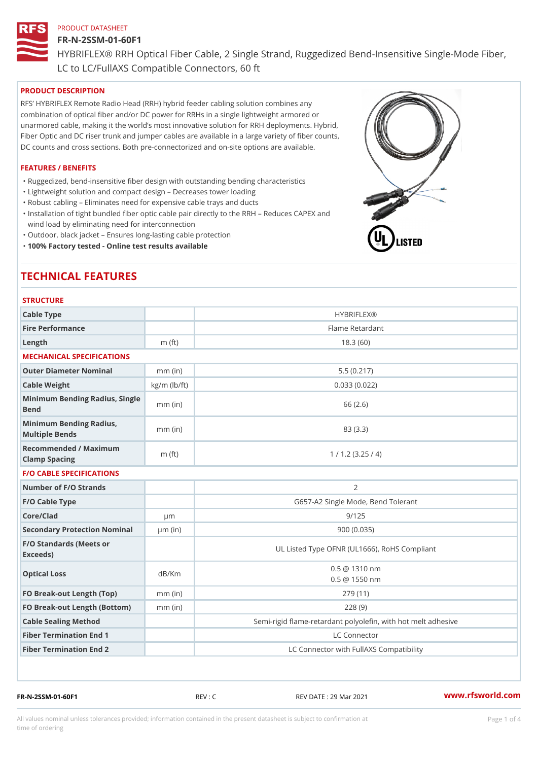### FR-N-2SSM-01-60F1

HYBRIFLEX® RRH Optical Fiber Cable, 2 Single Strand, Ruggedized Be

LC to LC/FullAXS Compatible Connectors, 60 ft

# PRODUCT DESCRIPTION

RFS HYBRIFLEX Remote Radio Head (RRH) hybrid feeder cabling solution combines any combination of optical fiber and/or DC power for RRHs in a single lightweight armored or unarmored cable, making it the world s most innovative solution for RRH deployments. Hybrid, Fiber Optic and DC riser trunk and jumper cables are available in a large variety of fiber counts, DC counts and cross sections. Both pre-connectorized and on-site options are available.

### FEATURES / BENEFITS

"Ruggedized, bend-insensitive fiber design with outstanding bending characteristics

- "Lightweight solution and compact design Decreases tower loading
- "Robust cabling Eliminates need for expensive cable trays and ducts
- "Installation of tight bundled fiber optic cable pair directly to the RRH Aeduces CAPEX and wind load by eliminating need for interconnection
- "Outdoor, black jacket Ensures long-lasting cable protection
- "100% Factory tested Online test results available

# TECHNICAL FEATURES

### **STRUCTURE**

| .                                                 |                    |                                                          |
|---------------------------------------------------|--------------------|----------------------------------------------------------|
| Cable Type                                        |                    | <b>HYBRIFLEX®</b>                                        |
| Fire Performance                                  |                    | Flame Retardant                                          |
| Length                                            | $m$ (ft)           | 18.3(60)                                                 |
| MECHANICAL SPECIFICATIONS                         |                    |                                                          |
| Outer Diameter Nominal                            | $mm$ (in)          | 5.5(0.217)                                               |
| Cable Weight                                      | $kg/m$ ( $lb/ft$ ) | 0.033(0.022)                                             |
| Minimum Bending Radius, Single<br>Bend            |                    | 66 (2.6)                                                 |
| Minimum Bending Radius, mm (in)<br>Multiple Bends |                    | 83 (3.3)                                                 |
| Recommended / Maximum<br>Clamp Spacing            | $m$ (ft)           | 1 / 1.2 (3.25 / 4)                                       |
| <b>F/O CABLE SPECIFICATIONS</b>                   |                    |                                                          |
| Number of F/O Strands                             |                    | $\overline{2}$                                           |
| F/O Cable Type                                    |                    | G657-A2 Single Mode, Bend Tolerant                       |
| Core/Clad                                         | $\mu$ m            | 9/125                                                    |
| Secondary Protection Nomimal(in)                  |                    | 900 (0.035)                                              |
| F/O Standards (Meets or<br>Exceeds)               |                    | UL Listed Type OFNR (UL1666), RoHS Compliant             |
| Optical Loss                                      | dB/Km              | $0.5 \ @ \ 1310 \ nm$<br>$0.5 \t@ 1550 nm$               |
| FO Break-out Length (Top)mm (in)                  |                    | 279 (11)                                                 |
| FO Break-out Length (Bottomm) (in)                |                    | 228(9)                                                   |
| Cable Sealing Method                              |                    | Semi-rigid flame-retardant polyolefin, with hot melt adl |
| Fiber Termination End                             |                    | LC Connector                                             |
| Fiber Termination End 2                           |                    | LC Connector with FullAXS Compatibility                  |

FR-N-2SSM-01-60F1 REV : C REV DATE : 29 Mar 2021 [www.](https://www.rfsworld.com)rfsworld.com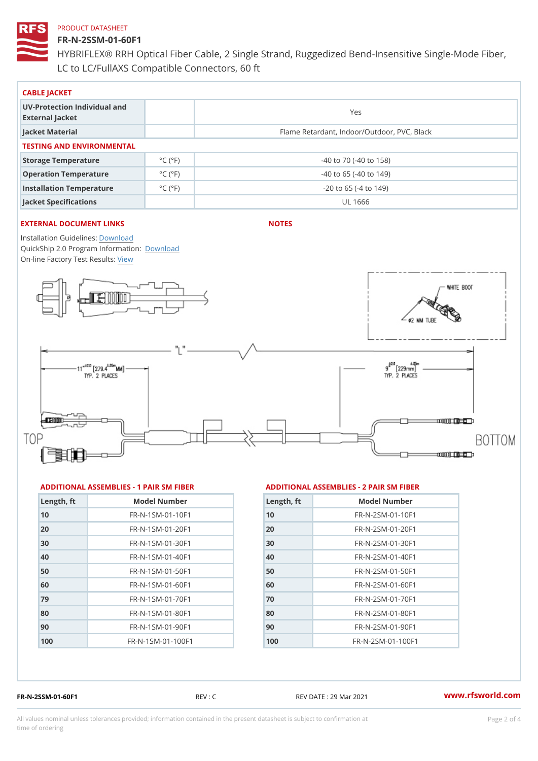## FR-N-2SSM-01-60F1

HYBRIFLEX® RRH Optical Fiber Cable, 2 Single Strand, Ruggedized Be LC to LC/FullAXS Compatible Connectors, 60 ft

| CABLE JACKET                                    |                              |                                             |  |  |  |
|-------------------------------------------------|------------------------------|---------------------------------------------|--|--|--|
| UV-Protection Individual and<br>External Jacket |                              | Yes                                         |  |  |  |
| Jacket Material                                 |                              | Flame Retardant, Indoor/Outdoor, PVC, Black |  |  |  |
| TESTING AND ENVIRONMENTAL                       |                              |                                             |  |  |  |
| Storage Temperature                             | $^{\circ}$ C ( $^{\circ}$ F) | $-40$ to $70$ ( $-40$ to $158$ )            |  |  |  |
| Operation Temperature                           | $^{\circ}$ C ( $^{\circ}$ F  | $-40$ to 65 ( $-40$ to 149)                 |  |  |  |
| Installation Temperature                        | $^{\circ}$ C ( $^{\circ}$ F  | $-20$ to 65 ( $-4$ to 149)                  |  |  |  |
| Jacket Specifications                           |                              | UL 1666                                     |  |  |  |

## EXTERNAL DOCUMENT LINKS

NOTES

Installation Guidelwinessad QuickShip 2.0 Program [Informa](http://www.rfsworld.com/images/hybriflex/quickship_program_2.pdf)tion: On-line Factory Te[s](https://www.rfsworld.com/pictures/userfiles/programs/AAST Latest Version.zip)teResults:

#### ADDITIONAL ASSEMBLIES - 1 PAIR SM FIBERED DITIONAL ASSEMBLIES - 2 PAIR SM FIBER

| Length, ft | Model Number                    |
|------------|---------------------------------|
| 10         | FR-N-1SM-01-10F1                |
| 20         | FR-N-1SM-01-20F1                |
| 30         | $FR - N - 1$ S M - 01 - 30 F 1  |
| 40         | FR-N-1SM-01-40F1                |
| 50         | FR-N-1SM-01-50F1                |
| 60         | $FR - N - 1$ S M - 01 - 60 F 1  |
| 79         | $FR - N - 1$ S M - 01 - 70 F 1  |
| 80         | $FR - N - 1$ S M - 01 - 80 F 1  |
| 90         | $FR - N - 1$ S M - 01 - 90 F 1  |
| 100        | $FR - N - 1$ S M - 01 - 100 F 1 |

| Length, ft | Model Number                  |
|------------|-------------------------------|
| 10         | $FR - N - 2 SM - 01 - 10 F1$  |
| 20         | $FR - N - 2 SM - 01 - 20 F1$  |
| 30         | $FR - N - 2 S M - 01 - 30 F1$ |
| 40         | $FR - N - 2 SM - 01 - 40 F1$  |
| 50         | $FR - N - 2 SM - 01 - 50 F1$  |
| 60         | $FR - N - 2 S M - 01 - 60 F1$ |
| 70         | FR-N-2SM-01-70F1              |
| 80         | $FR - N - 2 S M - 01 - 80 F1$ |
| 90         | FR-N-2SM-01-90F1              |
| 100        | $FR - N - 2 SM - 01 - 100 F1$ |

FR-N-2SSM-01-60F1 REV : C REV DATE : 29 Mar 2021 [www.](https://www.rfsworld.com)rfsworld.com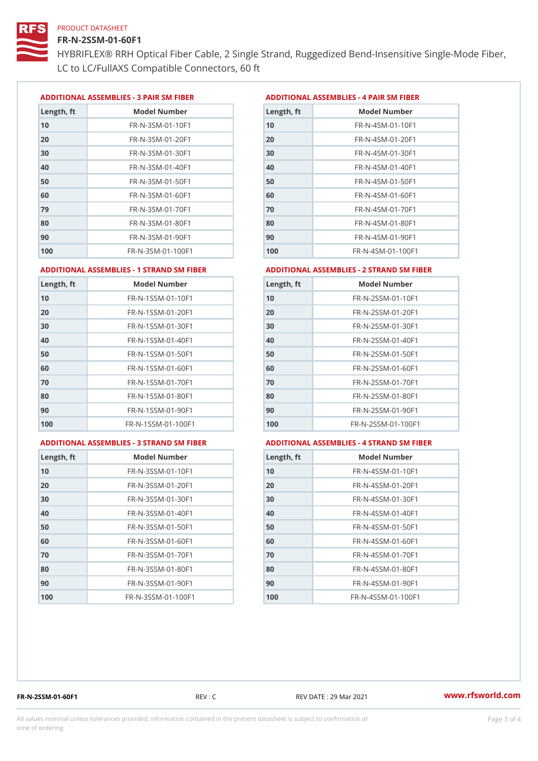### FR-N-2SSM-01-60F1

HYBRIFLEX® RRH Optical Fiber Cable, 2 Single Strand, Ruggedized Be LC to LC/FullAXS Compatible Connectors, 60 ft

ADDITIONAL ASSEMBLIES - 3 PAIR SM FIBERED DITIONAL ASSEMBLIES - 4 PAIR SM FIBER

| Length, ft | Model Number                   |
|------------|--------------------------------|
| 10         | $FR - N - 3 S M - 01 - 10 F1$  |
| 20         | FR-N-3SM-01-20F1               |
| 30         | FR-N-3SM-01-30F1               |
| 40         | $FR - N - 3 S M - 01 - 40 F1$  |
| 50         | FR-N-3SM-01-50F1               |
| 60         | $FR - N - 3 S M - 01 - 60 F1$  |
| 79         | $FR - N - 3 S M - 01 - 70 F1$  |
| 80         | $FR - N - 3 S M - 01 - 80 F1$  |
| 90         | FR-N-3SM-01-90F1               |
| 100        | $FR - N - 3 S M - 01 - 100 F1$ |

| Length, ft | Model Number                   |
|------------|--------------------------------|
| 10         | $FR - N - 4 SM - 01 - 10 F1$   |
| 20         | FR-N-4SM-01-20F1               |
| 30         | $FR - N - 4 S M - 01 - 30 F1$  |
| 40         | $FR - N - 4 S M - 01 - 40 F1$  |
| 50         | $FR - N - 4 SM - 01 - 50 F1$   |
| 60         | $FR - N - 4 SM - 01 - 60 F1$   |
| 7 0        | $FR - N - 4 SM - 01 - 70 F1$   |
| 80         | $FR - N - 4 S M - 01 - 80 F1$  |
| 90         | FR-N-4SM-01-90F1               |
| 100        | $FR - N - 4 S M - 01 - 100 F1$ |

#### ADDITIONAL ASSEMBLIES - 1 STRAND SM FABSDRTIONAL ASSEMBLIES - 2 STRAND SM FIBER

| Length, ft | Model Number                     | $L$ ength, ft | Model Number                |
|------------|----------------------------------|---------------|-----------------------------|
| 10         | FR-N-1SSM-01-10F1                | 10            | FR-N-2SSM-01-10F1           |
| 20         | FR-N-1SSM-01-20F1                | 20            | FR-N-2SSM-01-20F1           |
| 30         | FR-N-1SSM-01-30F1                | 30            | FR-N-2SSM-01-30F1           |
| 40         | $FR - N - 1$ S S M - 01 - 40 F 1 | 40            | $FR - N - 2SSM - 01 - 40F1$ |
| 50         | $FR - N - 1$ S S M - 01 - 50 F 1 | 50            | $FR - N - 2SSM - 01 - 50F1$ |
| 60         | FR-N-1SSM-01-60F1                | 60            | $FR - N - 2SSM - 01 - 60F1$ |
| 70         | $FR - N - 1$ S S M - 01 - 70 F 1 | 70            | $FR - N - 2SSM - 01 - 70F1$ |
| 80         | FR-N-1SSM-01-80F1                | 80            | FR-N-2SSM-01-80F1           |
| 90         | FR-N-1SSM-01-90F1                | 90            | $FR - N - 2SSM - 01 - 90F1$ |
| 100        | FR-N-1SSM-01-100F1               | 100           | FR-N-2SSM-01-100F1          |
|            |                                  |               |                             |

#### ADDITIONAL ASSEMBLIES - 3 STRAND SM FABSDRTIONAL ASSEMBLIES - 4 STRAND SM FIBER

| Length, ft | Model Number                    |
|------------|---------------------------------|
| 10         | $FR - N - 3 S S M - 01 - 10 F1$ |
| 20         | FR-N-3SSM-01-20F1               |
| 30         | FR-N-3SSM-01-30F1               |
| 40         | FR-N-3SSM-01-40F1               |
| 50         | $FR - N - 3 S S M - 01 - 50 F1$ |
| 60         | $FR - N - 3 S S M - 01 - 60 F1$ |
| 70         | $FR - N - 3 S S M - 01 - 70 F1$ |
| 80         | FR-N-3SSM-01-80F1               |
| 90         | FR-N-3SSM-01-90F1               |
| 100        | FR-N-3SSM-01-100F1              |

| Length, ft | Model Number                     |
|------------|----------------------------------|
| 10         | $FR - N - 4$ S S M - 01 - 10 F 1 |
| 20         | $FR - N - 4 S S M - 01 - 20 F1$  |
| 30         | $FR - N - 4 S S M - 01 - 30 F1$  |
| 40         | FR-N-4SSM-01-40F1                |
| 50         | $FR - N - 4$ S S M - 01 - 50 F 1 |
| 60         | FR-N-4SSM-01-60F1                |
| 70         | $FR - N - 4$ S S M - 01 - 70 F 1 |
| 80         | $FR - N - 4$ S S M - 01 - 80 F 1 |
| 90         | FR-N-4SSM-01-90F1                |
| 100        | FR-N-4SSM-01-100F1               |

FR-N-2SSM-01-60F1 REV : C REV DATE : 29 Mar 2021 [www.](https://www.rfsworld.com)rfsworld.com

All values nominal unless tolerances provided; information contained in the present datasheet is subject to Pcapgeling that i time of ordering